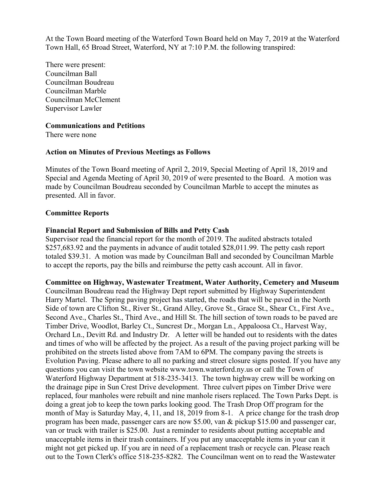At the Town Board meeting of the Waterford Town Board held on May 7, 2019 at the Waterford Town Hall, 65 Broad Street, Waterford, NY at 7:10 P.M. the following transpired:

There were present: Councilman Ball Councilman Boudreau Councilman Marble Councilman McClement Supervisor Lawler

#### **Communications and Petitions**

There were none

#### **Action on Minutes of Previous Meetings as Follows**

Minutes of the Town Board meeting of April 2, 2019, Special Meeting of April 18, 2019 and Special and Agenda Meeting of April 30, 2019 of were presented to the Board. A motion was made by Councilman Boudreau seconded by Councilman Marble to accept the minutes as presented. All in favor.

#### **Committee Reports**

#### **Financial Report and Submission of Bills and Petty Cash**

Supervisor read the financial report for the month of 2019. The audited abstracts totaled \$257,683.92 and the payments in advance of audit totaled \$28,011.99. The petty cash report totaled \$39.31. A motion was made by Councilman Ball and seconded by Councilman Marble to accept the reports, pay the bills and reimburse the petty cash account. All in favor.

# **Committee on Highway, Wastewater Treatment, Water Authority, Cemetery and Museum**

Councilman Boudreau read the Highway Dept report submitted by Highway Superintendent Harry Martel. The Spring paving project has started, the roads that will be paved in the North Side of town are Clifton St., River St., Grand Alley, Grove St., Grace St., Shear Ct., First Ave., Second Ave., Charles St., Third Ave., and Hill St. The hill section of town roads to be paved are Timber Drive, Woodlot, Barley Ct., Suncrest Dr., Morgan Ln., Appaloosa Ct., Harvest Way, Orchard Ln., Devitt Rd. and Industry Dr. A letter will be handed out to residents with the dates and times of who will be affected by the project. As a result of the paving project parking will be prohibited on the streets listed above from 7AM to 6PM. The company paving the streets is Evolution Paving. Please adhere to all no parking and street closure signs posted. If you have any questions you can visit the town website www.town.waterford.ny.us or call the Town of Waterford Highway Department at 518-235-3413. The town highway crew will be working on the drainage pipe in Sun Crest Drive development. Three culvert pipes on Timber Drive were replaced, four manholes were rebuilt and nine manhole risers replaced. The Town Parks Dept. is doing a great job to keep the town parks looking good. The Trash Drop Off program for the month of May is Saturday May, 4, 11, and 18, 2019 from 8-1. A price change for the trash drop program has been made, passenger cars are now \$5.00, van & pickup \$15.00 and passenger car, van or truck with trailer is \$25.00. Just a reminder to residents about putting acceptable and unacceptable items in their trash containers. If you put any unacceptable items in your can it might not get picked up. If you are in need of a replacement trash or recycle can. Please reach out to the Town Clerk's office 518-235-8282. The Councilman went on to read the Wastewater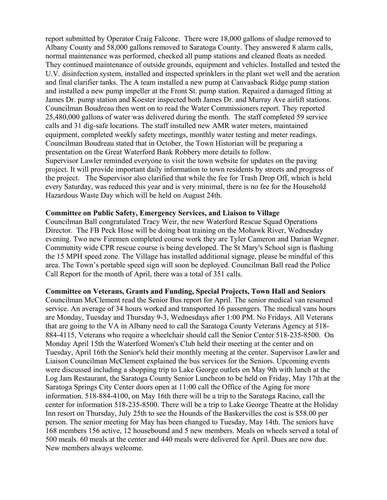report submitted by Operator Craig Falcone. There were 18,000 gallons of sludge removed to Albany County and 58,000 gallons removed to Saratoga County. They answered 8 alarm calls, normal maintenance was performed, checked all pump stations and cleaned floats as needed. They continued maintenance of outside grounds, equipment and vehicles. Installed and tested the U.V. disinfection system, installed and inspected sprinklers in the plant wet well and the aeration and final clarifier tanks. The A team installed a new pump at Canvasback Ridge pump station and installed a new pump impeller at the Front St. pump station. Repaired a damaged fitting at James Dr. pump station and Koester inspected both James Dr. and Murray Ave airlift stations. Councilman Boudreau then went on to read the Water Commissioners report. They reported 25,480,000 gallons of water was delivered during the month. The staff completed 59 service calls and 31 dig-safe locations. The staff installed new AMR water meters, maintained equipment, completed weekly safety meetings, monthly water testing and meter readings. Councilman Boudreau stated that in October, the Town Historian will be preparing a presentation on the Great Waterford Bank Robbery more details to follow. Supervisor Lawler reminded everyone to visit the town website for updates on the paving project. It will provide important daily information to town residents by streets and progress of the project. The Supervisor also clarified that while the fee for Trash Drop Off, which is held every Saturday, was reduced this year and is very minimal, there is no fee for the Household Hazardous Waste Day which will be held on August 24th.

#### **Committee on Public Safety, Emergency Services, and Liaison to Village**

Councilman Ball congratulated Tracy Weir, the new Waterford Rescue Squad Operations Director. The FB Peck Hose will be doing boat training on the Mohawk River, Wednesday evening. Two new Firemen completed course work they are Tyler Cameron and Darian Wegner. Community wide CPR rescue course is being developed. The St Mary's School sign is flashing the 15 MPH speed zone. The Village has installed additional signage, please be mindful of this area. The Town's portable speed sign will soon be deployed. Councilman Ball read the Police Call Report for the month of April, there was a total of 351 calls.

#### **Committee on Veterans, Grants and Funding, Special Projects, Town Hall and Seniors**

Councilman McClement read the Senior Bus report for April. The senior medical van resumed service. An average of 34 hours worked and transported 16 passengers. The medical vans hours are Monday, Tuesday and Thursday 9-3, Wednesdays after 1:00 PM. No Fridays. All Veterans that are going to the VA in Albany need to call the Saratoga County Veterans Agency at 518- 884-4115, Veterans who require a wheelchair should call the Senior Center 518-235-8500. On Monday April 15th the Waterford Women's Club held their meeting at the center and on Tuesday, April 16th the Senior's held their monthly meeting at the center. Supervisor Lawler and Liaison Councilman McClement explained the bus services for the Seniors. Upcoming events were discussed including a shopping trip to Lake George outlets on May 9th with lunch at the Log Jam Restaurant, the Saratoga County Senior Luncheon to be held on Friday, May 17th at the Saratoga Springs City Center doors open at 11:00 call the Office of the Aging for more information. 518-884-4100, on May 16th there will be a trip to the Saratoga Racino, call the center for information 518-235-8500. There will be a trip to Lake George Theatre at the Holiday Inn resort on Thursday, July 25th to see the Hounds of the Baskervilles the cost is \$58.00 per person. The senior meeting for May has been changed to Tuesday, May 14th. The seniors have 168 members 156 active, 12 housebound and 5 new members. Meals on wheels served a total of 500 meals. 60 meals at the center and 440 meals were delivered for April. Dues are now due. New members always welcome.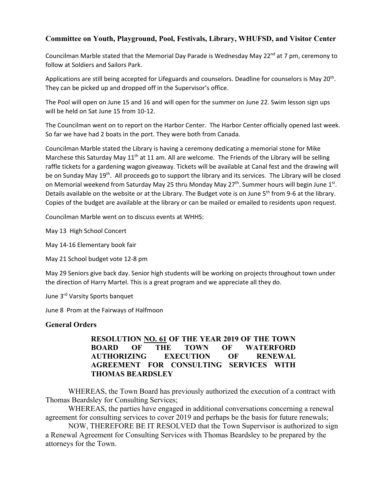## **Committee on Youth, Playground, Pool, Festivals, Library, WHUFSD, and Visitor Center**

Councilman Marble stated that the Memorial Day Parade is Wednesday May 22<sup>nd</sup> at 7 pm, ceremony to follow at Soldiers and Sailors Park.

Applications are still being accepted for Lifeguards and counselors. Deadline for counselors is May 20<sup>th</sup>. They can be picked up and dropped off in the Supervisor's office.

The Pool will open on June 15 and 16 and will open for the summer on June 22. Swim lesson sign ups will be held on Sat June 15 from 10‐12.

The Councilman went on to report on the Harbor Center. The Harbor Center officially opened last week. So far we have had 2 boats in the port. They were both from Canada.

Councilman Marble stated the Library is having a ceremony dedicating a memorial stone for Mike Marchese this Saturday May  $11<sup>th</sup>$  at 11 am. All are welcome. The Friends of the Library will be selling raffle tickets for a gardening wagon giveaway. Tickets will be available at Canal fest and the drawing will be on Sunday May 19<sup>th</sup>. All proceeds go to support the library and its services. The Library will be closed on Memorial weekend from Saturday May 25 thru Monday May 27<sup>th</sup>. Summer hours will begin June 1<sup>st</sup>. Details available on the website or at the Library. The Budget vote is on June 5<sup>th</sup> from 9-6 at the library. Copies of the budget are available at the library or can be mailed or emailed to residents upon request.

Councilman Marble went on to discuss events at WHHS:

May 13 High School Concert

May 14‐16 Elementary book fair

May 21 School budget vote 12‐8 pm

May 29 Seniors give back day. Senior high students will be working on projects throughout town under the direction of Harry Martel. This is a great program and we appreciate all they do.

June 3rd Varsity Sports banquet

June 8 Prom at the Fairways of Halfmoon

### **General Orders**

### **RESOLUTION NO. 61 OF THE YEAR 2019 OF THE TOWN BOARD OF THE TOWN OF WATERFORD AUTHORIZING EXECUTION OF RENEWAL AGREEMENT FOR CONSULTING SERVICES WITH THOMAS BEARDSLEY**

 WHEREAS, the Town Board has previously authorized the execution of a contract with Thomas Beardsley for Consulting Services;

 WHEREAS, the parties have engaged in additional conversations concerning a renewal agreement for consulting services to cover 2019 and perhaps be the basis for future renewals;

 NOW, THEREFORE BE IT RESOLVED that the Town Supervisor is authorized to sign a Renewal Agreement for Consulting Services with Thomas Beardsley to be prepared by the attorneys for the Town.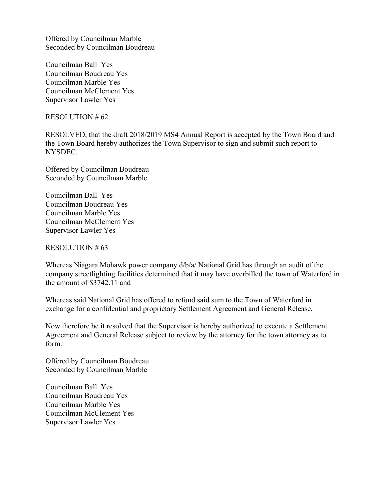Offered by Councilman Marble Seconded by Councilman Boudreau

Councilman Ball Yes Councilman Boudreau Yes Councilman Marble Yes Councilman McClement Yes Supervisor Lawler Yes

RESOLUTION # 62

RESOLVED, that the draft 2018/2019 MS4 Annual Report is accepted by the Town Board and the Town Board hereby authorizes the Town Supervisor to sign and submit such report to NYSDEC.

Offered by Councilman Boudreau Seconded by Councilman Marble

Councilman Ball Yes Councilman Boudreau Yes Councilman Marble Yes Councilman McClement Yes Supervisor Lawler Yes

RESOLUTION # 63

Whereas Niagara Mohawk power company d/b/a/ National Grid has through an audit of the company streetlighting facilities determined that it may have overbilled the town of Waterford in the amount of \$3742.11 and

Whereas said National Grid has offered to refund said sum to the Town of Waterford in exchange for a confidential and proprietary Settlement Agreement and General Release,

Now therefore be it resolved that the Supervisor is hereby authorized to execute a Settlement Agreement and General Release subject to review by the attorney for the town attorney as to form.

Offered by Councilman Boudreau Seconded by Councilman Marble

Councilman Ball Yes Councilman Boudreau Yes Councilman Marble Yes Councilman McClement Yes Supervisor Lawler Yes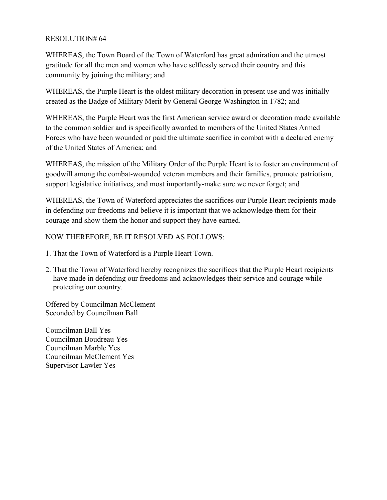## RESOLUTION# 64

WHEREAS, the Town Board of the Town of Waterford has great admiration and the utmost gratitude for all the men and women who have selflessly served their country and this community by joining the military; and

WHEREAS, the Purple Heart is the oldest military decoration in present use and was initially created as the Badge of Military Merit by General George Washington in 1782; and

WHEREAS, the Purple Heart was the first American service award or decoration made available to the common soldier and is specifically awarded to members of the United States Armed Forces who have been wounded or paid the ultimate sacrifice in combat with a declared enemy of the United States of America; and

WHEREAS, the mission of the Military Order of the Purple Heart is to foster an environment of goodwill among the combat-wounded veteran members and their families, promote patriotism, support legislative initiatives, and most importantly-make sure we never forget; and

WHEREAS, the Town of Waterford appreciates the sacrifices our Purple Heart recipients made in defending our freedoms and believe it is important that we acknowledge them for their courage and show them the honor and support they have earned.

## NOW THEREFORE, BE IT RESOLVED AS FOLLOWS:

- 1. That the Town of Waterford is a Purple Heart Town.
- 2. That the Town of Waterford hereby recognizes the sacrifices that the Purple Heart recipients have made in defending our freedoms and acknowledges their service and courage while protecting our country.

Offered by Councilman McClement Seconded by Councilman Ball

Councilman Ball Yes Councilman Boudreau Yes Councilman Marble Yes Councilman McClement Yes Supervisor Lawler Yes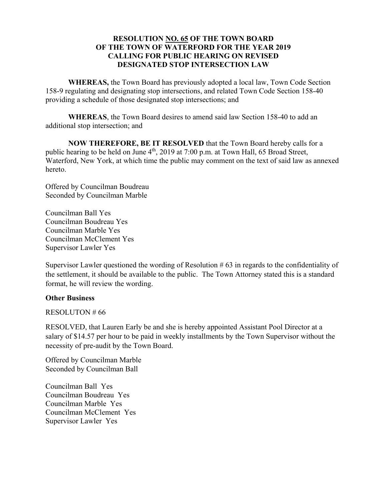### **RESOLUTION NO. 65 OF THE TOWN BOARD OF THE TOWN OF WATERFORD FOR THE YEAR 2019 CALLING FOR PUBLIC HEARING ON REVISED DESIGNATED STOP INTERSECTION LAW**

**WHEREAS,** the Town Board has previously adopted a local law, Town Code Section 158-9 regulating and designating stop intersections, and related Town Code Section 158-40 providing a schedule of those designated stop intersections; and

**WHEREAS**, the Town Board desires to amend said law Section 158-40 to add an additional stop intersection; and

**NOW THEREFORE, BE IT RESOLVED** that the Town Board hereby calls for a public hearing to be held on June  $4<sup>th</sup>$ , 2019 at 7:00 p.m. at Town Hall, 65 Broad Street, Waterford, New York, at which time the public may comment on the text of said law as annexed hereto.

Offered by Councilman Boudreau Seconded by Councilman Marble

Councilman Ball Yes Councilman Boudreau Yes Councilman Marble Yes Councilman McClement Yes Supervisor Lawler Yes

Supervisor Lawler questioned the wording of Resolution # 63 in regards to the confidentiality of the settlement, it should be available to the public. The Town Attorney stated this is a standard format, he will review the wording.

### **Other Business**

RESOLUTON # 66

RESOLVED, that Lauren Early be and she is hereby appointed Assistant Pool Director at a salary of \$14.57 per hour to be paid in weekly installments by the Town Supervisor without the necessity of pre-audit by the Town Board.

Offered by Councilman Marble Seconded by Councilman Ball

Councilman Ball Yes Councilman Boudreau Yes Councilman Marble Yes Councilman McClement Yes Supervisor Lawler Yes